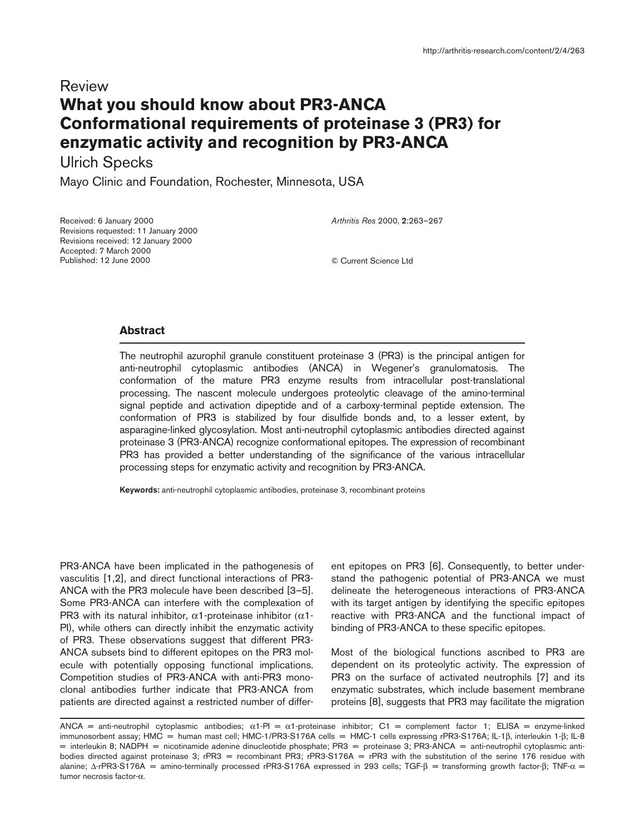## Review **What you should know about PR3-ANCA Conformational requirements of proteinase 3 (PR3) for enzymatic activity and recognition by PR3-ANCA**

Ulrich Specks

Mayo Clinic and Foundation, Rochester, Minnesota, USA

Received: 6 January 2000 Revisions requested: 11 January 2000 Revisions received: 12 January 2000 Accepted: 7 March 2000 Published: 12 June 2000

*Arthritis Res* 2000, **2**:263–267

© Current Science Ltd

## **Abstract**

The neutrophil azurophil granule constituent proteinase 3 (PR3) is the principal antigen for anti-neutrophil cytoplasmic antibodies (ANCA) in Wegener's granulomatosis. The conformation of the mature PR3 enzyme results from intracellular post-translational processing. The nascent molecule undergoes proteolytic cleavage of the amino-terminal signal peptide and activation dipeptide and of a carboxy-terminal peptide extension. The conformation of PR3 is stabilized by four disulfide bonds and, to a lesser extent, by asparagine-linked glycosylation. Most anti-neutrophil cytoplasmic antibodies directed against proteinase 3 (PR3-ANCA) recognize conformational epitopes. The expression of recombinant PR3 has provided a better understanding of the significance of the various intracellular processing steps for enzymatic activity and recognition by PR3-ANCA.

**Keywords:** anti-neutrophil cytoplasmic antibodies, proteinase 3, recombinant proteins

PR3-ANCA have been implicated in the pathogenesis of vasculitis [1,2], and direct functional interactions of PR3- ANCA with the PR3 molecule have been described [3–5]. Some PR3-ANCA can interfere with the complexation of PR3 with its natural inhibitor,  $\alpha$ 1-proteinase inhibitor ( $\alpha$ 1-PI), while others can directly inhibit the enzymatic activity of PR3. These observations suggest that different PR3- ANCA subsets bind to different epitopes on the PR3 molecule with potentially opposing functional implications. Competition studies of PR3-ANCA with anti-PR3 monoclonal antibodies further indicate that PR3-ANCA from patients are directed against a restricted number of different epitopes on PR3 [6]. Consequently, to better understand the pathogenic potential of PR3-ANCA we must delineate the heterogeneous interactions of PR3-ANCA with its target antigen by identifying the specific epitopes reactive with PR3-ANCA and the functional impact of binding of PR3-ANCA to these specific epitopes.

Most of the biological functions ascribed to PR3 are dependent on its proteolytic activity. The expression of PR3 on the surface of activated neutrophils [7] and its enzymatic substrates, which include basement membrane proteins [8], suggests that PR3 may facilitate the migration

ANCA = anti-neutrophil cytoplasmic antibodies;  $\alpha$ 1-PI =  $\alpha$ 1-proteinase inhibitor; C1 = complement factor 1; ELISA = enzyme-linked immunosorbent assay; HMC = human mast cell; HMC-1/PR3-S176A cells = HMC-1 cells expressing rPR3-S176A; IL-1β, interleukin 1-β; IL-8 = interleukin 8; NADPH = nicotinamide adenine dinucleotide phosphate; PR3 = proteinase 3; PR3-ANCA = anti-neutrophil cytoplasmic antibodies directed against proteinase 3; rPR3 = recombinant PR3; rPR3-S176A = rPR3 with the substitution of the serine 176 residue with alanine; Δ-rPR3-S176A = amino-terminally processed rPR3-S176A expressed in 293 cells; TGF-β = transforming growth factor-β; TNF-α = tumor necrosis factor-α.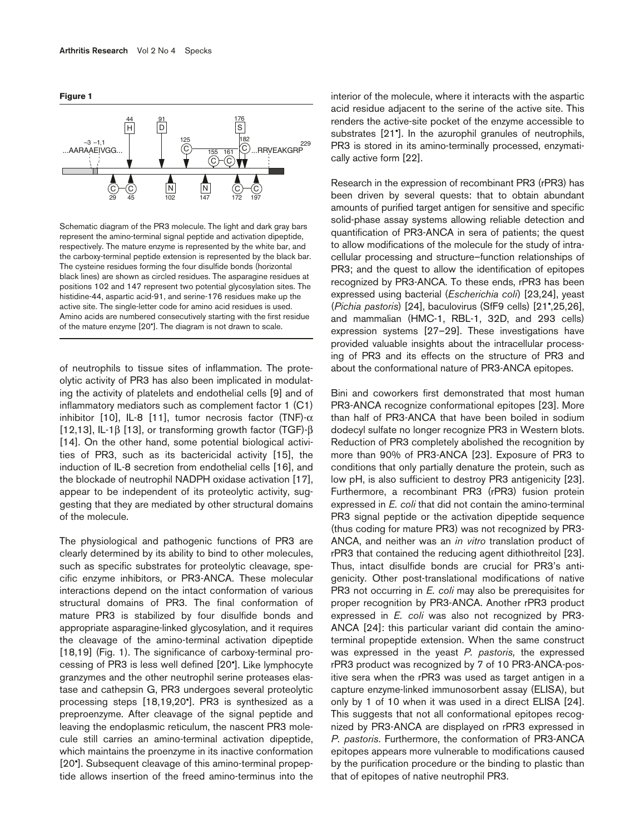



Schematic diagram of the PR3 molecule. The light and dark gray bars represent the amino-terminal signal peptide and activation dipeptide, respectively. The mature enzyme is represented by the white bar, and the carboxy-terminal peptide extension is represented by the black bar. The cysteine residues forming the four disulfide bonds (horizontal black lines) are shown as circled residues. The asparagine residues at positions 102 and 147 represent two potential glycosylation sites. The histidine-44, aspartic acid-91, and serine-176 residues make up the active site. The single-letter code for amino acid residues is used. Amino acids are numbered consecutively starting with the first residue of the mature enzyme [20•]. The diagram is not drawn to scale.

of neutrophils to tissue sites of inflammation. The proteolytic activity of PR3 has also been implicated in modulating the activity of platelets and endothelial cells [9] and of inflammatory mediators such as complement factor 1 (C1) inhibitor [10], IL-8 [11], tumor necrosis factor (TNF)- $\alpha$ [12,13], IL-1 $\beta$  [13], or transforming growth factor (TGF)- $\beta$ [14]. On the other hand, some potential biological activities of PR3, such as its bactericidal activity [15], the induction of IL-8 secretion from endothelial cells [16], and the blockade of neutrophil NADPH oxidase activation [17], appear to be independent of its proteolytic activity, suggesting that they are mediated by other structural domains of the molecule.

The physiological and pathogenic functions of PR3 are clearly determined by its ability to bind to other molecules, such as specific substrates for proteolytic cleavage, specific enzyme inhibitors, or PR3-ANCA. These molecular interactions depend on the intact conformation of various structural domains of PR3. The final conformation of mature PR3 is stabilized by four disulfide bonds and appropriate asparagine-linked glycosylation, and it requires the cleavage of the amino-terminal activation dipeptide [18,19] (Fig. 1). The significance of carboxy-terminal processing of PR3 is less well defined [20•]. Like lymphocyte granzymes and the other neutrophil serine proteases elastase and cathepsin G, PR3 undergoes several proteolytic processing steps [18,19,20•]. PR3 is synthesized as a preproenzyme. After cleavage of the signal peptide and leaving the endoplasmic reticulum, the nascent PR3 molecule still carries an amino-terminal activation dipeptide, which maintains the proenzyme in its inactive conformation [20•]. Subsequent cleavage of this amino-terminal propeptide allows insertion of the freed amino-terminus into the

interior of the molecule, where it interacts with the aspartic acid residue adjacent to the serine of the active site. This renders the active-site pocket of the enzyme accessible to substrates [21•]. In the azurophil granules of neutrophils, PR3 is stored in its amino-terminally processed, enzymatically active form [22].

Research in the expression of recombinant PR3 (rPR3) has been driven by several quests: that to obtain abundant amounts of purified target antigen for sensitive and specific solid-phase assay systems allowing reliable detection and quantification of PR3-ANCA in sera of patients; the quest to allow modifications of the molecule for the study of intracellular processing and structure–function relationships of PR3; and the quest to allow the identification of epitopes recognized by PR3-ANCA. To these ends, rPR3 has been expressed using bacterial (*Escherichia coli*) [23,24], yeast (*Pichia pastoris*) [24], baculovirus (SfF9 cells) [21•,25,26], and mammalian (HMC-1, RBL-1, 32D, and 293 cells) expression systems [27–29]. These investigations have provided valuable insights about the intracellular processing of PR3 and its effects on the structure of PR3 and about the conformational nature of PR3-ANCA epitopes.

Bini and coworkers first demonstrated that most human PR3-ANCA recognize conformational epitopes [23]. More than half of PR3-ANCA that have been boiled in sodium dodecyl sulfate no longer recognize PR3 in Western blots. Reduction of PR3 completely abolished the recognition by more than 90% of PR3-ANCA [23]. Exposure of PR3 to conditions that only partially denature the protein, such as low pH, is also sufficient to destroy PR3 antigenicity [23]. Furthermore, a recombinant PR3 (rPR3) fusion protein expressed in *E. coli* that did not contain the amino-terminal PR3 signal peptide or the activation dipeptide sequence (thus coding for mature PR3) was not recognized by PR3- ANCA, and neither was an *in vitro* translation product of rPR3 that contained the reducing agent dithiothreitol [23]. Thus, intact disulfide bonds are crucial for PR3's antigenicity. Other post-translational modifications of native PR3 not occurring in *E. coli* may also be prerequisites for proper recognition by PR3-ANCA. Another rPR3 product expressed in *E. coli* was also not recognized by PR3- ANCA [24]: this particular variant did contain the aminoterminal propeptide extension. When the same construct was expressed in the yeast *P. pastoris,* the expressed rPR3 product was recognized by 7 of 10 PR3-ANCA-positive sera when the rPR3 was used as target antigen in a capture enzyme-linked immunosorbent assay (ELISA), but only by 1 of 10 when it was used in a direct ELISA [24]. This suggests that not all conformational epitopes recognized by PR3-ANCA are displayed on rPR3 expressed in *P. pastoris*. Furthermore, the conformation of PR3-ANCA epitopes appears more vulnerable to modifications caused by the purification procedure or the binding to plastic than that of epitopes of native neutrophil PR3.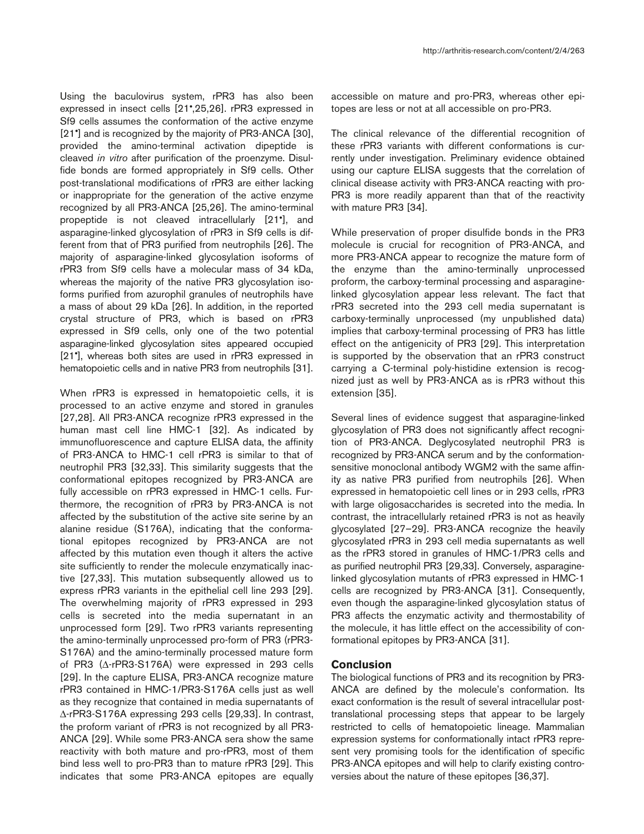Using the baculovirus system, rPR3 has also been expressed in insect cells [21•,25,26]. rPR3 expressed in Sf9 cells assumes the conformation of the active enzyme [21<sup>•</sup>] and is recognized by the majority of PR3-ANCA [30], provided the amino-terminal activation dipeptide is cleaved *in vitro* after purification of the proenzyme. Disulfide bonds are formed appropriately in Sf9 cells. Other post-translational modifications of rPR3 are either lacking or inappropriate for the generation of the active enzyme recognized by all PR3-ANCA [25,26]. The amino-terminal propeptide is not cleaved intracellularly [21•], and asparagine-linked glycosylation of rPR3 in Sf9 cells is different from that of PR3 purified from neutrophils [26]. The majority of asparagine-linked glycosylation isoforms of rPR3 from Sf9 cells have a molecular mass of 34 kDa, whereas the majority of the native PR3 glycosylation isoforms purified from azurophil granules of neutrophils have a mass of about 29 kDa [26]. In addition, in the reported crystal structure of PR3, which is based on rPR3 expressed in Sf9 cells, only one of the two potential asparagine-linked glycosylation sites appeared occupied [21•], whereas both sites are used in rPR3 expressed in hematopoietic cells and in native PR3 from neutrophils [31].

When rPR3 is expressed in hematopoietic cells, it is processed to an active enzyme and stored in granules [27,28]. All PR3-ANCA recognize rPR3 expressed in the human mast cell line HMC-1 [32]. As indicated by immunofluorescence and capture ELISA data, the affinity of PR3-ANCA to HMC-1 cell rPR3 is similar to that of neutrophil PR3 [32,33]. This similarity suggests that the conformational epitopes recognized by PR3-ANCA are fully accessible on rPR3 expressed in HMC-1 cells. Furthermore, the recognition of rPR3 by PR3-ANCA is not affected by the substitution of the active site serine by an alanine residue (S176A), indicating that the conformational epitopes recognized by PR3-ANCA are not affected by this mutation even though it alters the active site sufficiently to render the molecule enzymatically inactive [27,33]. This mutation subsequently allowed us to express rPR3 variants in the epithelial cell line 293 [29]. The overwhelming majority of rPR3 expressed in 293 cells is secreted into the media supernatant in an unprocessed form [29]. Two rPR3 variants representing the amino-terminally unprocessed pro-form of PR3 (rPR3- S176A) and the amino-terminally processed mature form of PR3 (∆-rPR3-S176A) were expressed in 293 cells [29]. In the capture ELISA, PR3-ANCA recognize mature rPR3 contained in HMC-1/PR3-S176A cells just as well as they recognize that contained in media supernatants of ∆-rPR3-S176A expressing 293 cells [29,33]. In contrast, the proform variant of rPR3 is not recognized by all PR3- ANCA [29]. While some PR3-ANCA sera show the same reactivity with both mature and pro-rPR3, most of them bind less well to pro-PR3 than to mature rPR3 [29]. This indicates that some PR3-ANCA epitopes are equally

accessible on mature and pro-PR3, whereas other epitopes are less or not at all accessible on pro-PR3.

The clinical relevance of the differential recognition of these rPR3 variants with different conformations is currently under investigation. Preliminary evidence obtained using our capture ELISA suggests that the correlation of clinical disease activity with PR3-ANCA reacting with pro-PR3 is more readily apparent than that of the reactivity with mature PR3 [34].

While preservation of proper disulfide bonds in the PR3 molecule is crucial for recognition of PR3-ANCA, and more PR3-ANCA appear to recognize the mature form of the enzyme than the amino-terminally unprocessed proform, the carboxy-terminal processing and asparaginelinked glycosylation appear less relevant. The fact that rPR3 secreted into the 293 cell media supernatant is carboxy-terminally unprocessed (my unpublished data) implies that carboxy-terminal processing of PR3 has little effect on the antigenicity of PR3 [29]. This interpretation is supported by the observation that an rPR3 construct carrying a C-terminal poly-histidine extension is recognized just as well by PR3-ANCA as is rPR3 without this extension [35].

Several lines of evidence suggest that asparagine-linked glycosylation of PR3 does not significantly affect recognition of PR3-ANCA. Deglycosylated neutrophil PR3 is recognized by PR3-ANCA serum and by the conformationsensitive monoclonal antibody WGM2 with the same affinity as native PR3 purified from neutrophils [26]. When expressed in hematopoietic cell lines or in 293 cells, rPR3 with large oligosaccharides is secreted into the media. In contrast, the intracellularly retained rPR3 is not as heavily glycosylated [27–29]. PR3-ANCA recognize the heavily glycosylated rPR3 in 293 cell media supernatants as well as the rPR3 stored in granules of HMC-1/PR3 cells and as purified neutrophil PR3 [29,33]. Conversely, asparaginelinked glycosylation mutants of rPR3 expressed in HMC-1 cells are recognized by PR3-ANCA [31]. Consequently, even though the asparagine-linked glycosylation status of PR3 affects the enzymatic activity and thermostability of the molecule, it has little effect on the accessibility of conformational epitopes by PR3-ANCA [31].

## **Conclusion**

The biological functions of PR3 and its recognition by PR3- ANCA are defined by the molecule's conformation. Its exact conformation is the result of several intracellular posttranslational processing steps that appear to be largely restricted to cells of hematopoietic lineage. Mammalian expression systems for conformationally intact rPR3 represent very promising tools for the identification of specific PR3-ANCA epitopes and will help to clarify existing controversies about the nature of these epitopes [36,37].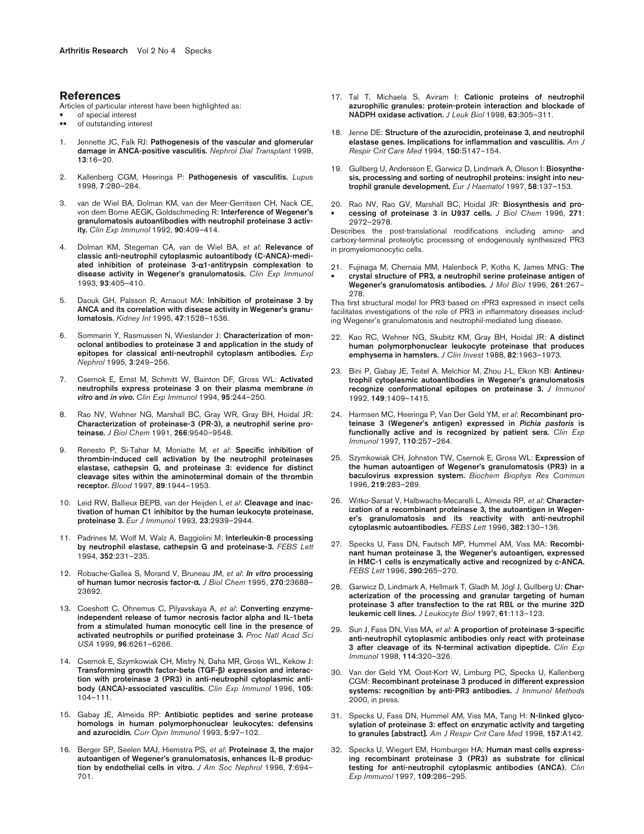## **References**

Articles of particular interest have been highlighted as:

- of special interest<br>• of outstanding inte
- of outstanding interest
- 1. Jennette JC, Falk RJ: **Pathogenesis of the vascular and glomerular damage in ANCA-positive vasculitis.** *Nephrol Dial Transplant* 1998, **13**:16–20.
- 2. Kallenberg CGM, Heeringa P: **Pathogenesis of vasculitis.** *Lupus* 1998, **7**:280–284.
- 3. van de Wiel BA, Dolman KM, van der Meer-Gerritsen CH, Nack CE, von dem Borne AEGK, Goldschmeding R: **Interference of Wegener's granulomatosis autoantibodies with neutrophil proteinase 3 activity.** *Clin Exp Immunol* 1992, **90**:409–414.
- 4. Dolman KM, Stegeman CA, van de Wiel BA, *et al*: **Relevance of classic anti-neutrophil cytoplasmic autoantibody (C-ANCA)-mediated inhibition of proteinase 3-**α**1-antitrypsin complexation to disease activity in Wegener's granulomatosis.** *Clin Exp Immunol* 1993, **93**:405–410.
- 5. Daouk GH, Palsson R, Arnaout MA: **Inhibition of proteinase 3 by ANCA and its correlation with disease activity in Wegener's granulomatosis.** *Kidney Int* 1995, **47**:1528–1536.
- 6. Sommarin Y, Rasmussen N, Wieslander J: **Characterization of monoclonal antibodies to proteinase 3 and application in the study of epitopes for classical anti-neutrophil cytoplasm antibodies.** *Exp Nephrol* 1995, **3**:249–256.
- 7. Csernok E, Ernst M, Schmitt W, Bainton DF, Gross WL: **Activated neutrophils express proteinase 3 on their plasma membrane** *in vitro* **and** *in vivo***.** *Clin Exp Immunol* 1994, **95**:244–250.
- Rao NV, Wehner NG, Marshall BC, Gray WR, Gray BH, Hoidal JR: **Characterization of proteinase-3 (PR-3), a neutrophil serine proteinase.** *J Biol Chem* 1991, **266**:9540–9548.
- 9. Renesto P, Si-Tahar M, Moniatte M, *et al*: **Specific inhibition of thrombin-induced cell activation by the neutrophil proteinases elastase, cathepsin G, and proteinase 3: evidence for distinct cleavage sites within the aminoterminal domain of the thrombin receptor.** *Blood* 1997, **89**:1944–1953.
- 10. Leid RW, Ballieux BEPB, van der Heijden I, *et al*: **Cleavage and inactivation of human C1 inhibitor by the human leukocyte proteinase, proteinase 3.** *Eur J Immunol* 1993, **23**:2939–2944.
- 11. Padrines M, Wolf M, Walz A, Baggiolini M: **Interleukin-8 processing by neutrophil elastase, cathepsin G and proteinase-3.** *FEBS Lett* 1994, **352**:231–235.
- 12. Robache-Gallea S, Morand V, Bruneau JM, *et al*: *In vitro* **processing of human tumor necrosis factor-**α**.** *J Biol Chem* 1995, **270**:23688– 23692.
- 13. Coeshott C, Ohnemus C, Pilyavskaya A, *et al*: **Converting enzymeindependent release of tumor necrosis factor alpha and IL-1beta from a stimulated human monocytic cell line in the presence of activated neutrophils or purified proteinase 3.** *Proc Natl Acad Sci USA* 1999, **96**:6261–6266.
- 14. Csernok E, Szymkowiak CH, Mistry N, Daha MR, Gross WL, Kekow J: **Transforming growth factor-beta (TGF-**β**) expression and interaction with proteinase 3 (PR3) in anti-neutrophil cytoplasmic antibody (ANCA)-associated vasculitis.** *Clin Exp Immunol* 1996, **105**: 104–111.
- 15. Gabay JE, Almeida RP: **Antibiotic peptides and serine protease homologs in human polymorphonuclear leukocytes: defensins and azurocidin.** *Curr Opin Immunol* 1993, **5**:97–102.
- 16. Berger SP, Seelen MAJ, Hiemstra PS, *et al*: **Proteinase 3, the major autoantigen of Wegener's granulomatosis, enhances IL-8 production by endothelial cells in vitro.** *J Am Soc Nephrol* 1996, **7**:694– 701.
- 17. Tal T, Michaela S, Aviram I: **Cationic proteins of neutrophil azurophilic granules: protein-protein interaction and blockade of NADPH oxidase activation.** *J Leuk Biol* 1998, **63**:305–311.
- 18. Jenne DE: **Structure of the azurocidin, proteinase 3, and neutrophil elastase genes. Implications for inflammation and vasculitis.** *Am J Respir Crit Care Med* 1994, **150**:S147–154.
- 19. Gullberg U, Andersson E, Garwicz D, Lindmark A, Olsson I: **Biosynthesis, processing and sorting of neutrophil proteins: insight into neutrophil granule development.** *Eur J Haematol* 1997, **58**:137–153.
- 20. Rao NV, Rao GV, Marshall BC, Hoidal JR: **Biosynthesis and pro-** • **cessing of proteinase 3 in U937 cells.** *J Biol Chem* 1996, **271**: 2972–2978.

Describes the post-translational modifications including amino- and carboxy-terminal proteolytic processing of endogenously synthesized PR3 in promyelomonocytic cells.

21. Fujinaga M, Chernaia MM, Halenbeck P, Koths K, James MNG: **The**  • **crystal structure of PR3, a neutrophil serine proteinase antigen of Wegener's granulomatosis antibodies.** *J Mol Biol* 1996, **261**:267– 278.

This first structural model for PR3 based on rPR3 expressed in insect cells facilitates investigations of the role of PR3 in inflammatory diseases including Wegener's granulomatosis and neutrophil-mediated lung disease.

- 22. Kao RC, Wehner NG, Skubitz KM, Gray BH, Hoidal JR: **A distinct human polymorphonuclear leukocyte proteinase that produces emphysema in hamsters.** *J Clin Invest* 1988, **82**:1963–1973.
- 23. Bini P, Gabay JE, Teitel A, Melchior M, Zhou J-L, Elkon KB: **Antineutrophil cytoplasmic autoantibodies in Wegener's granulomatosis recognize conformational epitopes on proteinase 3.** *J Immunol* 1992, **149**:1409–1415.
- 24. Harmsen MC, Heeringa P, Van Der Geld YM, *et al*: **Recombinant proteinase 3 (Wegener's antigen) expressed in** *Pichia pastoris* **is functionally active and is recognized by patient sera.** *Clin Exp Immunol* 1997, **110**:257–264.
- 25. Szymkowiak CH, Johnston TW, Csernok E, Gross WL: **Expression of the human autoantigen of Wegener's granulomatosis (PR3) in a baculovirus expression system.** *Biochem Biophys Res Commun* 1996, **219**:283–289.
- 26. Witko-Sarsat V, Halbwachs-Mecarelli L, Almeida RP, *et al*: **Characterization of a recombinant proteinase 3, the autoantigen in Wegener's granulomatosis and its reactivity with anti-neutrophil cytoplasmic autoantibodies.** *FEBS Lett* 1996, **382**:130–136.
- 27. Specks U, Fass DN, Fautsch MP, Hummel AM, Viss MA: **Recombinant human proteinase 3, the Wegener's autoantigen, expressed in HMC-1 cells is enzymatically active and recognized by c-ANCA.** *FEBS Lett* 1996, **390**:265–270.
- 28. Garwicz D, Lindmark A, Hellmark T, Gladh M, Jögl J, Gullberg U: **Characterization of the processing and granular targeting of human proteinase 3 after transfection to the rat RBL or the murine 32D leukemic cell lines.** *J Leukocyte Biol* 1997, **61**:113–123.
- 29. Sun J, Fass DN, Viss MA, *et al*: **A proportion of proteinase 3-specific anti-neutrophil cytoplasmic antibodies only react with proteinase 3 after cleavage of its N-terminal activation dipeptide.** *Clin Exp Immunol* 1998, **114**:320–326.
- 30. Van der Geld YM, Oost-Kort W, Limburg PC, Specks U, Kallenberg CGM: **Recombinant proteinase 3 produced in different expression systems: recognition by anti-PR3 antibodies.** *J Immunol Methods* 2000, in press.
- 31. Specks U, Fass DN, Hummel AM, Viss MA, Tang H: **N-linked glycosylation of proteinase 3: effect on enzymatic activity and targeting to granules [abstract].** *Am J Respir Crit Care Med* 1998, **157**:A142.
- 32. Specks U, Wiegert EM, Homburger HA: **Human mast cells expressing recombinant proteinase 3 (PR3) as substrate for clinical testing for anti-neutrophil cytoplasmic antibodies (ANCA).** *Clin Exp Immunol* 1997, **109**:286–295.